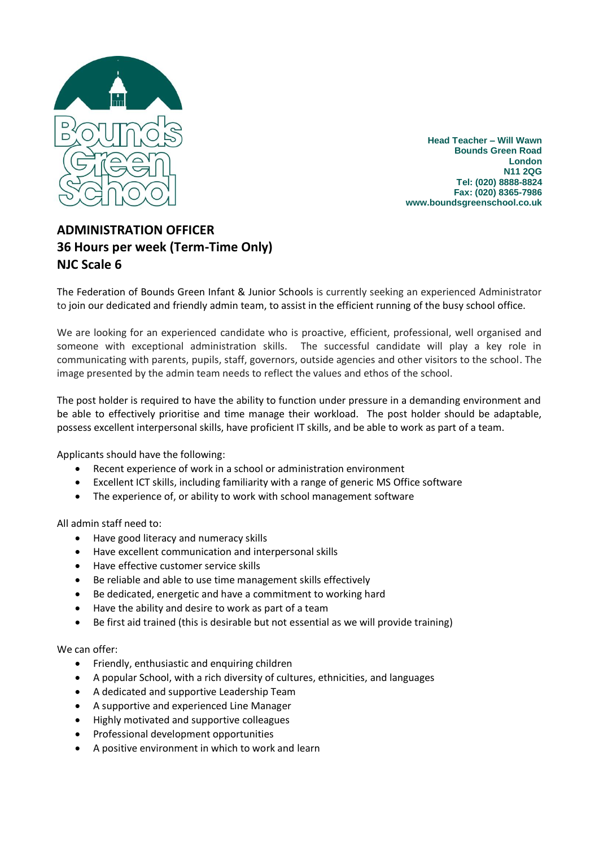

**Head Teacher – Will Wawn Bounds Green Road London N11 2QG Tel: (020) 8888-8824 Fax: (020) 8365-7986 www.boundsgreenschool.co.uk**

## **ADMINISTRATION OFFICER 36 Hours per week (Term-Time Only) NJC Scale 6**

The Federation of Bounds Green Infant & Junior Schools is currently seeking an experienced Administrator to join our dedicated and friendly admin team, to assist in the efficient running of the busy school office.

We are looking for an experienced candidate who is proactive, efficient, professional, well organised and someone with exceptional administration skills. The successful candidate will play a key role in communicating with parents, pupils, staff, governors, outside agencies and other visitors to the school. The image presented by the admin team needs to reflect the values and ethos of the school.

The post holder is required to have the ability to function under pressure in a demanding environment and be able to effectively prioritise and time manage their workload. The post holder should be adaptable, possess excellent interpersonal skills, have proficient IT skills, and be able to work as part of a team.

Applicants should have the following:

- Recent experience of work in a school or administration environment
- Excellent ICT skills, including familiarity with a range of generic MS Office software
- The experience of, or ability to work with school management software

All admin staff need to:

- Have good literacy and numeracy skills
- Have excellent communication and interpersonal skills
- Have effective customer service skills
- Be reliable and able to use time management skills effectively
- Be dedicated, energetic and have a commitment to working hard
- Have the ability and desire to work as part of a team
- Be first aid trained (this is desirable but not essential as we will provide training)

We can offer:

- Friendly, enthusiastic and enquiring children
- A popular School, with a rich diversity of cultures, ethnicities, and languages
- A dedicated and supportive Leadership Team
- A supportive and experienced Line Manager
- Highly motivated and supportive colleagues
- Professional development opportunities
- A positive environment in which to work and learn